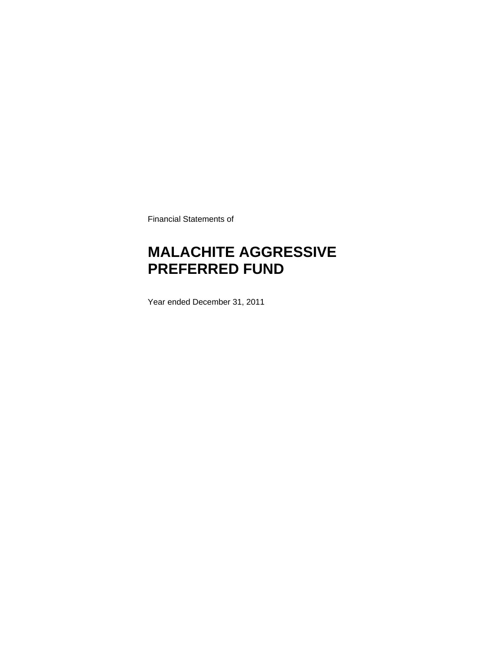Financial Statements of

# **MALACHITE AGGRESSIVE PREFERRED FUND**

Year ended December 31, 2011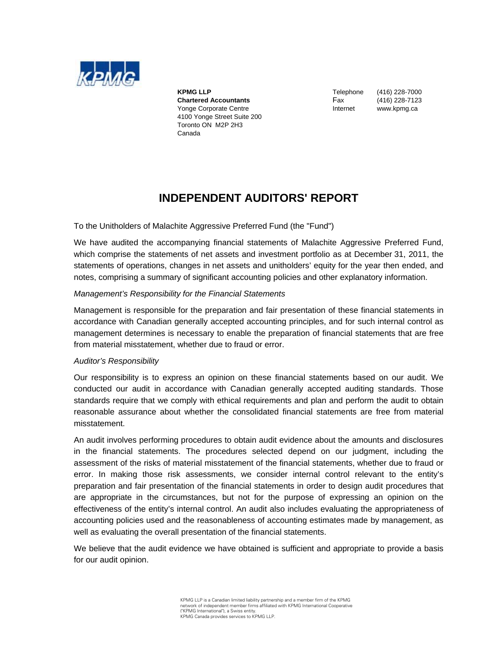

**KPMG LLP** Telephone (416) 228-7000 **Chartered Accountants** Fax (416) 228-7123 Yonge Corporate Centre **Internet** Www.kpmg.ca 4100 Yonge Street Suite 200 Toronto ON M2P 2H3 Canada

### **INDEPENDENT AUDITORS' REPORT**

To the Unitholders of Malachite Aggressive Preferred Fund (the "Fund")

We have audited the accompanying financial statements of Malachite Aggressive Preferred Fund, which comprise the statements of net assets and investment portfolio as at December 31, 2011, the statements of operations, changes in net assets and unitholders' equity for the year then ended, and notes, comprising a summary of significant accounting policies and other explanatory information.

### *Management's Responsibility for the Financial Statements*

Management is responsible for the preparation and fair presentation of these financial statements in accordance with Canadian generally accepted accounting principles, and for such internal control as management determines is necessary to enable the preparation of financial statements that are free from material misstatement, whether due to fraud or error.

### *Auditor's Responsibility*

Our responsibility is to express an opinion on these financial statements based on our audit. We conducted our audit in accordance with Canadian generally accepted auditing standards. Those standards require that we comply with ethical requirements and plan and perform the audit to obtain reasonable assurance about whether the consolidated financial statements are free from material misstatement.

An audit involves performing procedures to obtain audit evidence about the amounts and disclosures in the financial statements. The procedures selected depend on our judgment, including the assessment of the risks of material misstatement of the financial statements, whether due to fraud or error. In making those risk assessments, we consider internal control relevant to the entity's preparation and fair presentation of the financial statements in order to design audit procedures that are appropriate in the circumstances, but not for the purpose of expressing an opinion on the effectiveness of the entity's internal control. An audit also includes evaluating the appropriateness of accounting policies used and the reasonableness of accounting estimates made by management, as well as evaluating the overall presentation of the financial statements.

We believe that the audit evidence we have obtained is sufficient and appropriate to provide a basis for our audit opinion.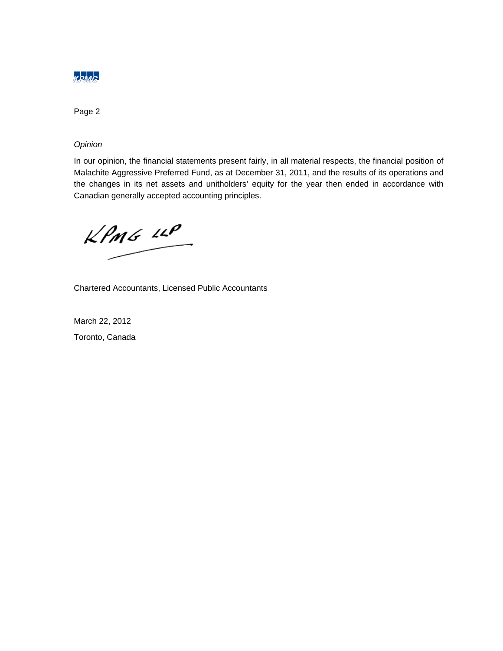

Page 2

#### *Opinion*

In our opinion, the financial statements present fairly, in all material respects, the financial position of Malachite Aggressive Preferred Fund, as at December 31, 2011, and the results of its operations and the changes in its net assets and unitholders' equity for the year then ended in accordance with Canadian generally accepted accounting principles.

 $kPm6$   $\mu$ 

Chartered Accountants, Licensed Public Accountants

March 22, 2012 Toronto, Canada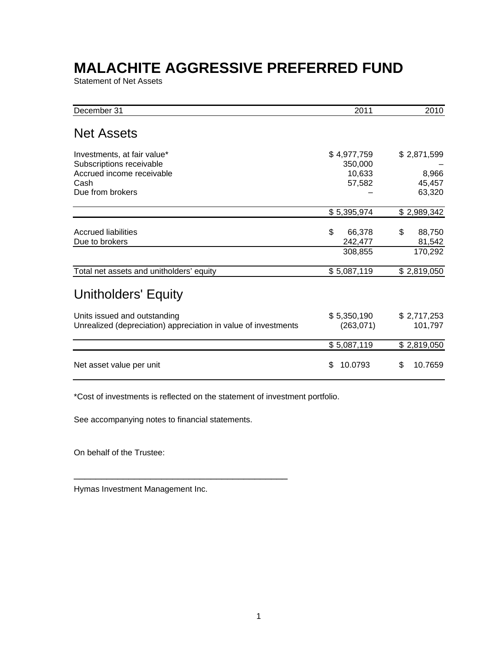Statement of Net Assets

| December 31                                                                                                      | 2011                                       | 2010                                     |
|------------------------------------------------------------------------------------------------------------------|--------------------------------------------|------------------------------------------|
| <b>Net Assets</b>                                                                                                |                                            |                                          |
| Investments, at fair value*<br>Subscriptions receivable<br>Accrued income receivable<br>Cash<br>Due from brokers | \$4,977,759<br>350,000<br>10,633<br>57,582 | \$2,871,599<br>8,966<br>45,457<br>63,320 |
|                                                                                                                  | \$5,395,974                                | \$2,989,342                              |
| <b>Accrued liabilities</b><br>Due to brokers                                                                     | \$<br>66,378<br>242,477<br>308,855         | \$<br>88,750<br>81,542<br>170,292        |
| Total net assets and unitholders' equity                                                                         | \$5,087,119                                | \$2,819,050                              |
| <b>Unitholders' Equity</b>                                                                                       |                                            |                                          |
| Units issued and outstanding<br>Unrealized (depreciation) appreciation in value of investments                   | \$5,350,190<br>(263, 071)                  | \$2,717,253<br>101,797                   |
|                                                                                                                  | \$5,087,119                                | \$2,819,050                              |
| Net asset value per unit                                                                                         | \$<br>10.0793                              | \$<br>10.7659                            |

\*Cost of investments is reflected on the statement of investment portfolio.

See accompanying notes to financial statements.

\_\_\_\_\_\_\_\_\_\_\_\_\_\_\_\_\_\_\_\_\_\_\_\_\_\_\_\_\_\_\_\_\_\_\_\_\_\_\_

On behalf of the Trustee:

Hymas Investment Management Inc.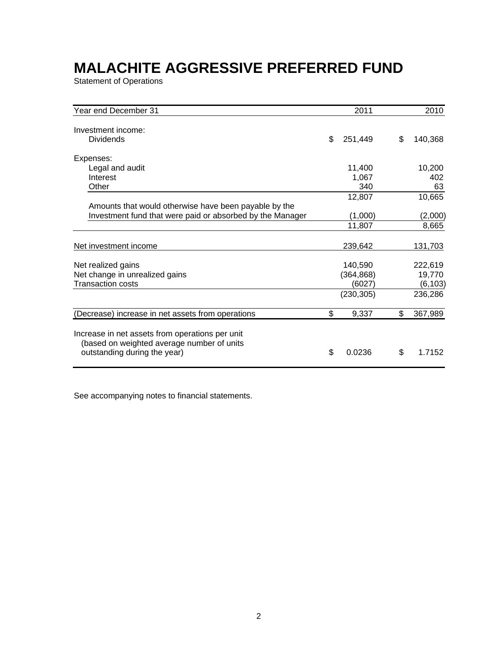Statement of Operations

| Year end December 31                                                                          | 2011          | 2010          |
|-----------------------------------------------------------------------------------------------|---------------|---------------|
| Investment income:<br><b>Dividends</b>                                                        | \$<br>251,449 | \$<br>140,368 |
| Expenses:                                                                                     |               |               |
| Legal and audit                                                                               | 11,400        | 10,200        |
| Interest                                                                                      | 1,067         | 402           |
| Other                                                                                         | 340           | 63            |
|                                                                                               | 12,807        | 10,665        |
| Amounts that would otherwise have been payable by the                                         |               |               |
| Investment fund that were paid or absorbed by the Manager                                     | (1,000)       | (2,000)       |
|                                                                                               | 11,807        | 8,665         |
|                                                                                               |               |               |
| Net investment income                                                                         | 239,642       | 131,703       |
|                                                                                               |               |               |
| Net realized gains                                                                            | 140,590       | 222,619       |
| Net change in unrealized gains                                                                | (364, 868)    | 19,770        |
| <b>Transaction costs</b>                                                                      | (6027)        | (6, 103)      |
|                                                                                               | (230, 305)    | 236,286       |
| (Decrease) increase in net assets from operations                                             | \$<br>9,337   | \$<br>367,989 |
|                                                                                               |               |               |
| Increase in net assets from operations per unit<br>(based on weighted average number of units |               |               |
| outstanding during the year)                                                                  | \$<br>0.0236  | \$<br>1.7152  |

See accompanying notes to financial statements.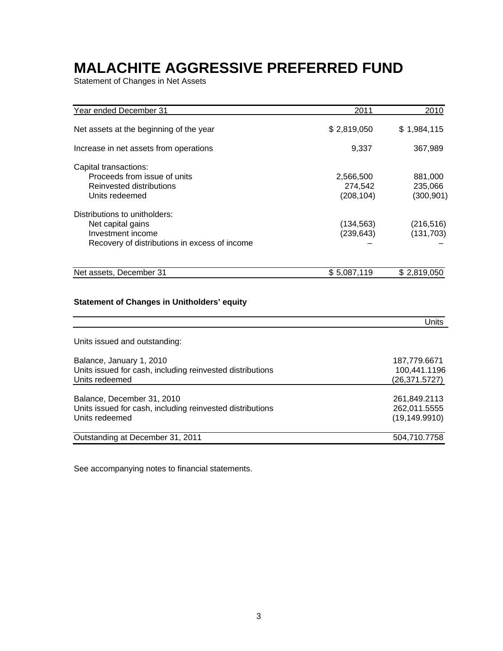Statement of Changes in Net Assets

| Year ended December 31                                    | 2011                 | 2010               |
|-----------------------------------------------------------|----------------------|--------------------|
| Net assets at the beginning of the year                   | \$2,819,050          | \$1,984,115        |
| Increase in net assets from operations                    | 9,337                | 367,989            |
|                                                           |                      |                    |
| Capital transactions:                                     |                      |                    |
| Proceeds from issue of units<br>Reinvested distributions  | 2,566,500<br>274,542 | 881,000<br>235,066 |
| Units redeemed                                            | (208, 104)           | (300, 901)         |
| Distributions to unitholders:                             |                      |                    |
| Net capital gains                                         | (134, 563)           | (216, 516)         |
| Investment income                                         | (239, 643)           | (131, 703)         |
| Recovery of distributions in excess of income             |                      |                    |
| Net assets, December 31                                   | \$5,087,119          | \$2,819,050        |
| <b>Statement of Changes in Unitholders' equity</b>        |                      |                    |
|                                                           |                      | <b>Units</b>       |
| Units issued and outstanding:                             |                      |                    |
| Balance, January 1, 2010                                  |                      | 187,779.6671       |
| Units issued for cash, including reinvested distributions |                      | 100,441.1196       |
| Units redeemed                                            |                      | (26, 371.5727)     |
| Balance, December 31, 2010                                |                      | 261,849.2113       |
| Units issued for cash, including reinvested distributions |                      | 262,011.5555       |
| Units redeemed                                            |                      | (19, 149.9910)     |
| Outstanding at December 31, 2011                          |                      | 504,710.7758       |

See accompanying notes to financial statements.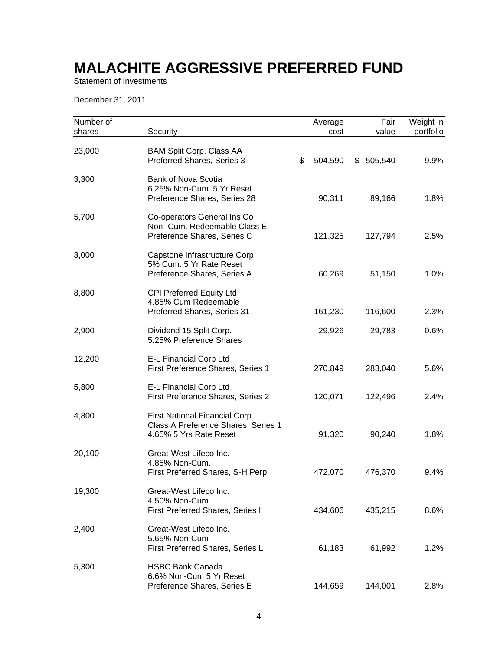Statement of Investments

December 31, 2011

| Number of |                                                                                                 | Average       | Fair          | Weight in |
|-----------|-------------------------------------------------------------------------------------------------|---------------|---------------|-----------|
| shares    | Security                                                                                        | cost          | value         | portfolio |
| 23,000    | <b>BAM Split Corp. Class AA</b><br>Preferred Shares, Series 3                                   | \$<br>504,590 | \$<br>505,540 | 9.9%      |
| 3,300     | <b>Bank of Nova Scotia</b><br>6.25% Non-Cum. 5 Yr Reset<br>Preference Shares, Series 28         | 90,311        | 89,166        | 1.8%      |
| 5,700     | Co-operators General Ins Co<br>Non- Cum. Redeemable Class E<br>Preference Shares, Series C      | 121,325       | 127,794       | 2.5%      |
| 3,000     | Capstone Infrastructure Corp<br>5% Cum. 5 Yr Rate Reset<br>Preference Shares, Series A          | 60,269        | 51,150        | 1.0%      |
| 8,800     | <b>CPI Preferred Equity Ltd</b><br>4.85% Cum Redeemable<br>Preferred Shares, Series 31          | 161,230       | 116,600       | 2.3%      |
| 2,900     | Dividend 15 Split Corp.<br>5.25% Preference Shares                                              | 29,926        | 29,783        | 0.6%      |
| 12,200    | E-L Financial Corp Ltd<br>First Preference Shares, Series 1                                     | 270,849       | 283,040       | 5.6%      |
| 5,800     | E-L Financial Corp Ltd<br>First Preference Shares, Series 2                                     | 120,071       | 122,496       | 2.4%      |
| 4,800     | First National Financial Corp.<br>Class A Preference Shares, Series 1<br>4.65% 5 Yrs Rate Reset | 91,320        | 90,240        | 1.8%      |
| 20,100    | Great-West Lifeco Inc.<br>4.85% Non-Cum.<br>First Preferred Shares, S-H Perp                    | 472,070       | 476,370       | 9.4%      |
| 19,300    | Great-West Lifeco Inc.<br>4.50% Non-Cum<br>First Preferred Shares, Series I                     | 434,606       | 435,215       | 8.6%      |
| 2,400     | Great-West Lifeco Inc.<br>5.65% Non-Cum<br>First Preferred Shares, Series L                     | 61,183        | 61,992        | 1.2%      |
| 5,300     | <b>HSBC Bank Canada</b><br>6.6% Non-Cum 5 Yr Reset<br>Preference Shares, Series E               | 144,659       | 144,001       | 2.8%      |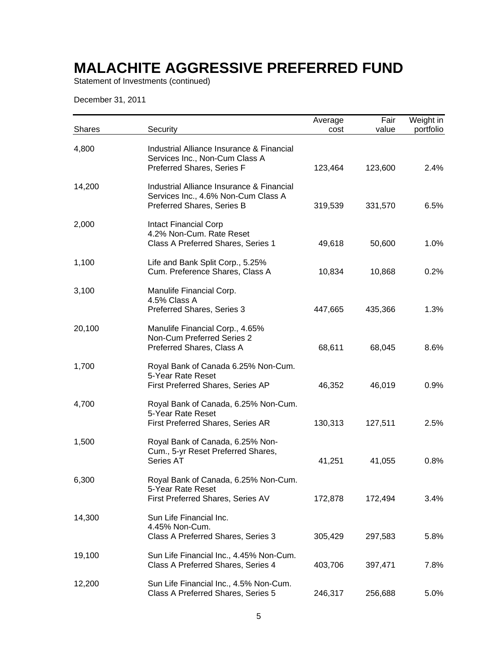Statement of Investments (continued)

December 31, 2011

| <b>Shares</b> | Security                                                                                                       | Average<br>cost | Fair<br>value | Weight in<br>portfolio |
|---------------|----------------------------------------------------------------------------------------------------------------|-----------------|---------------|------------------------|
| 4,800         | Industrial Alliance Insurance & Financial<br>Services Inc., Non-Cum Class A<br>Preferred Shares, Series F      | 123,464         | 123,600       | 2.4%                   |
| 14,200        | Industrial Alliance Insurance & Financial<br>Services Inc., 4.6% Non-Cum Class A<br>Preferred Shares, Series B | 319,539         | 331,570       | 6.5%                   |
| 2,000         | <b>Intact Financial Corp</b><br>4.2% Non-Cum. Rate Reset<br>Class A Preferred Shares, Series 1                 | 49,618          | 50,600        | 1.0%                   |
| 1,100         | Life and Bank Split Corp., 5.25%<br>Cum. Preference Shares, Class A                                            | 10,834          | 10,868        | 0.2%                   |
| 3,100         | Manulife Financial Corp.<br>4.5% Class A<br>Preferred Shares, Series 3                                         | 447,665         | 435,366       | 1.3%                   |
| 20,100        | Manulife Financial Corp., 4.65%<br>Non-Cum Preferred Series 2<br>Preferred Shares, Class A                     | 68,611          | 68,045        | 8.6%                   |
| 1,700         | Royal Bank of Canada 6.25% Non-Cum.<br>5-Year Rate Reset<br>First Preferred Shares, Series AP                  | 46,352          | 46,019        | 0.9%                   |
| 4,700         | Royal Bank of Canada, 6.25% Non-Cum.<br>5-Year Rate Reset<br>First Preferred Shares, Series AR                 | 130,313         | 127,511       | 2.5%                   |
| 1,500         | Royal Bank of Canada, 6.25% Non-<br>Cum., 5-yr Reset Preferred Shares,<br>Series AT                            | 41,251          | 41,055        | 0.8%                   |
| 6,300         | Royal Bank of Canada, 6.25% Non-Cum.<br>5-Year Rate Reset<br>First Preferred Shares, Series AV                 | 172,878         | 172,494       | 3.4%                   |
| 14,300        | Sun Life Financial Inc.<br>4.45% Non-Cum.<br>Class A Preferred Shares, Series 3                                | 305,429         | 297,583       | 5.8%                   |
| 19,100        | Sun Life Financial Inc., 4.45% Non-Cum.<br>Class A Preferred Shares, Series 4                                  | 403,706         | 397,471       | 7.8%                   |
| 12,200        | Sun Life Financial Inc., 4.5% Non-Cum.<br>Class A Preferred Shares, Series 5                                   | 246,317         | 256,688       | 5.0%                   |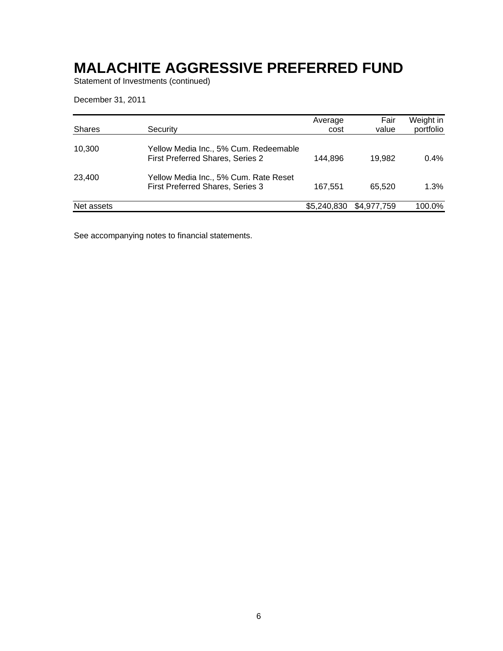Statement of Investments (continued)

December 31, 2011

| <b>Shares</b> | Security                                                                  | Average<br>cost | Fair<br>value | Weight in<br>portfolio |
|---------------|---------------------------------------------------------------------------|-----------------|---------------|------------------------|
| 10,300        | Yellow Media Inc., 5% Cum. Redeemable<br>First Preferred Shares, Series 2 | 144.896         | 19.982        | $0.4\%$                |
| 23,400        | Yellow Media Inc., 5% Cum. Rate Reset<br>First Preferred Shares, Series 3 | 167.551         | 65.520        | 1.3%                   |
| Net assets    |                                                                           | \$5,240,830     | \$4.977.759   | 100.0%                 |

See accompanying notes to financial statements.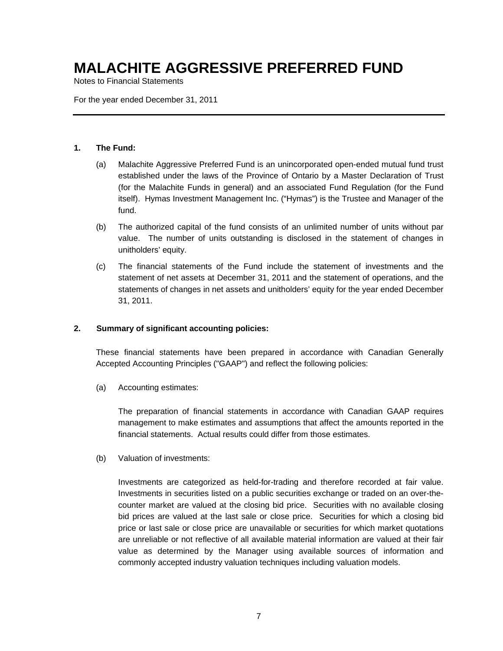Notes to Financial Statements

For the year ended December 31, 2011

#### **1. The Fund:**

- (a) Malachite Aggressive Preferred Fund is an unincorporated open-ended mutual fund trust established under the laws of the Province of Ontario by a Master Declaration of Trust (for the Malachite Funds in general) and an associated Fund Regulation (for the Fund itself). Hymas Investment Management Inc. ("Hymas") is the Trustee and Manager of the fund.
- (b) The authorized capital of the fund consists of an unlimited number of units without par value. The number of units outstanding is disclosed in the statement of changes in unitholders' equity.
- (c) The financial statements of the Fund include the statement of investments and the statement of net assets at December 31, 2011 and the statement of operations, and the statements of changes in net assets and unitholders' equity for the year ended December 31, 2011.

### **2. Summary of significant accounting policies:**

These financial statements have been prepared in accordance with Canadian Generally Accepted Accounting Principles ("GAAP") and reflect the following policies:

(a) Accounting estimates:

The preparation of financial statements in accordance with Canadian GAAP requires management to make estimates and assumptions that affect the amounts reported in the financial statements. Actual results could differ from those estimates.

(b) Valuation of investments:

Investments are categorized as held-for-trading and therefore recorded at fair value. Investments in securities listed on a public securities exchange or traded on an over-thecounter market are valued at the closing bid price. Securities with no available closing bid prices are valued at the last sale or close price. Securities for which a closing bid price or last sale or close price are unavailable or securities for which market quotations are unreliable or not reflective of all available material information are valued at their fair value as determined by the Manager using available sources of information and commonly accepted industry valuation techniques including valuation models.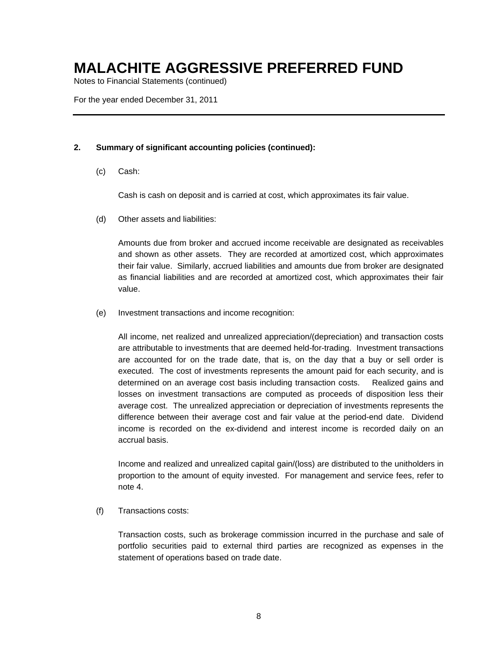Notes to Financial Statements (continued)

For the year ended December 31, 2011

#### **2. Summary of significant accounting policies (continued):**

(c) Cash:

Cash is cash on deposit and is carried at cost, which approximates its fair value.

(d) Other assets and liabilities:

Amounts due from broker and accrued income receivable are designated as receivables and shown as other assets. They are recorded at amortized cost, which approximates their fair value. Similarly, accrued liabilities and amounts due from broker are designated as financial liabilities and are recorded at amortized cost, which approximates their fair value.

(e) Investment transactions and income recognition:

All income, net realized and unrealized appreciation/(depreciation) and transaction costs are attributable to investments that are deemed held-for-trading. Investment transactions are accounted for on the trade date, that is, on the day that a buy or sell order is executed. The cost of investments represents the amount paid for each security, and is determined on an average cost basis including transaction costs. Realized gains and losses on investment transactions are computed as proceeds of disposition less their average cost. The unrealized appreciation or depreciation of investments represents the difference between their average cost and fair value at the period-end date. Dividend income is recorded on the ex-dividend and interest income is recorded daily on an accrual basis.

Income and realized and unrealized capital gain/(loss) are distributed to the unitholders in proportion to the amount of equity invested. For management and service fees, refer to note 4.

(f) Transactions costs:

Transaction costs, such as brokerage commission incurred in the purchase and sale of portfolio securities paid to external third parties are recognized as expenses in the statement of operations based on trade date.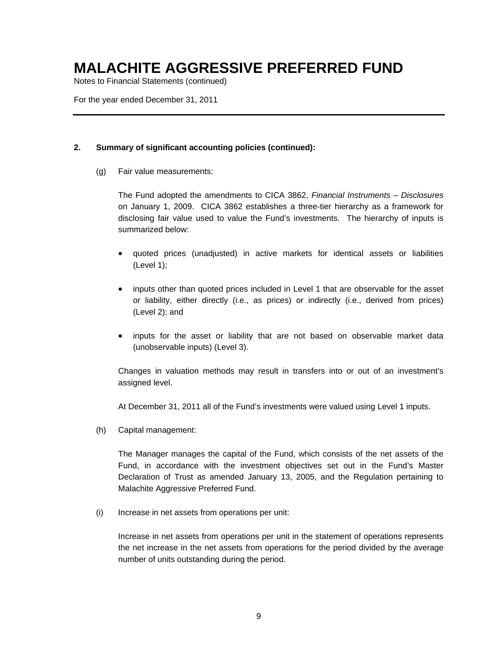Notes to Financial Statements (continued)

For the year ended December 31, 2011

#### **2. Summary of significant accounting policies (continued):**

(g) Fair value measurements:

The Fund adopted the amendments to CICA 3862, *Financial Instruments – Disclosures*  on January 1, 2009. CICA 3862 establishes a three-tier hierarchy as a framework for disclosing fair value used to value the Fund's investments. The hierarchy of inputs is summarized below:

- quoted prices (unadjusted) in active markets for identical assets or liabilities (Level 1);
- inputs other than quoted prices included in Level 1 that are observable for the asset or liability, either directly (i.e., as prices) or indirectly (i.e., derived from prices) (Level 2); and
- inputs for the asset or liability that are not based on observable market data (unobservable inputs) (Level 3).

Changes in valuation methods may result in transfers into or out of an investment's assigned level.

At December 31, 2011 all of the Fund's investments were valued using Level 1 inputs.

(h) Capital management:

The Manager manages the capital of the Fund, which consists of the net assets of the Fund, in accordance with the investment objectives set out in the Fund's Master Declaration of Trust as amended January 13, 2005, and the Regulation pertaining to Malachite Aggressive Preferred Fund.

(i) Increase in net assets from operations per unit:

Increase in net assets from operations per unit in the statement of operations represents the net increase in the net assets from operations for the period divided by the average number of units outstanding during the period.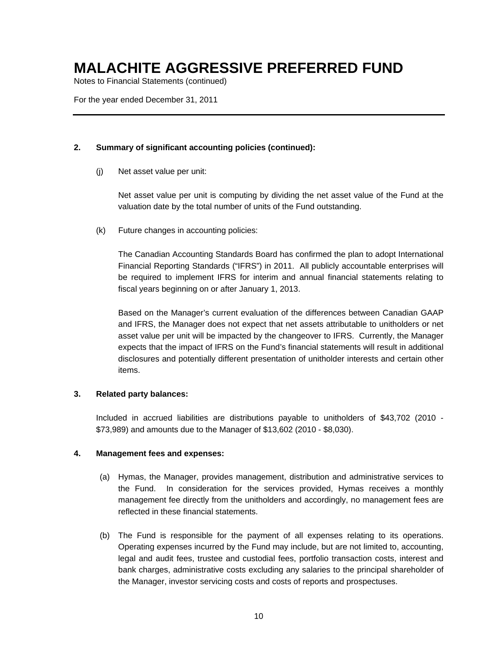Notes to Financial Statements (continued)

For the year ended December 31, 2011

#### **2. Summary of significant accounting policies (continued):**

(j) Net asset value per unit:

Net asset value per unit is computing by dividing the net asset value of the Fund at the valuation date by the total number of units of the Fund outstanding.

(k) Future changes in accounting policies:

The Canadian Accounting Standards Board has confirmed the plan to adopt International Financial Reporting Standards ("IFRS") in 2011. All publicly accountable enterprises will be required to implement IFRS for interim and annual financial statements relating to fiscal years beginning on or after January 1, 2013.

Based on the Manager's current evaluation of the differences between Canadian GAAP and IFRS, the Manager does not expect that net assets attributable to unitholders or net asset value per unit will be impacted by the changeover to IFRS. Currently, the Manager expects that the impact of IFRS on the Fund's financial statements will result in additional disclosures and potentially different presentation of unitholder interests and certain other items.

### **3. Related party balances:**

Included in accrued liabilities are distributions payable to unitholders of \$43,702 (2010 - \$73,989) and amounts due to the Manager of \$13,602 (2010 - \$8,030).

#### **4. Management fees and expenses:**

- (a) Hymas, the Manager, provides management, distribution and administrative services to the Fund. In consideration for the services provided, Hymas receives a monthly management fee directly from the unitholders and accordingly, no management fees are reflected in these financial statements.
- (b) The Fund is responsible for the payment of all expenses relating to its operations. Operating expenses incurred by the Fund may include, but are not limited to, accounting, legal and audit fees, trustee and custodial fees, portfolio transaction costs, interest and bank charges, administrative costs excluding any salaries to the principal shareholder of the Manager, investor servicing costs and costs of reports and prospectuses.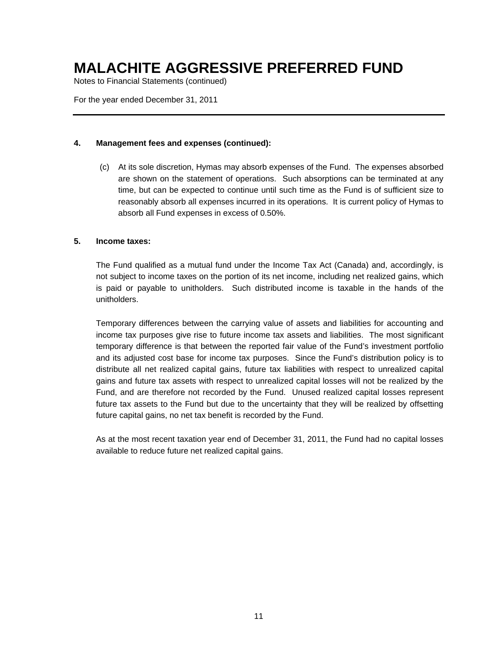Notes to Financial Statements (continued)

For the year ended December 31, 2011

#### **4. Management fees and expenses (continued):**

(c) At its sole discretion, Hymas may absorb expenses of the Fund. The expenses absorbed are shown on the statement of operations. Such absorptions can be terminated at any time, but can be expected to continue until such time as the Fund is of sufficient size to reasonably absorb all expenses incurred in its operations. It is current policy of Hymas to absorb all Fund expenses in excess of 0.50%.

#### **5. Income taxes:**

The Fund qualified as a mutual fund under the Income Tax Act (Canada) and, accordingly, is not subject to income taxes on the portion of its net income, including net realized gains, which is paid or payable to unitholders. Such distributed income is taxable in the hands of the unitholders.

Temporary differences between the carrying value of assets and liabilities for accounting and income tax purposes give rise to future income tax assets and liabilities. The most significant temporary difference is that between the reported fair value of the Fund's investment portfolio and its adjusted cost base for income tax purposes. Since the Fund's distribution policy is to distribute all net realized capital gains, future tax liabilities with respect to unrealized capital gains and future tax assets with respect to unrealized capital losses will not be realized by the Fund, and are therefore not recorded by the Fund. Unused realized capital losses represent future tax assets to the Fund but due to the uncertainty that they will be realized by offsetting future capital gains, no net tax benefit is recorded by the Fund.

As at the most recent taxation year end of December 31, 2011, the Fund had no capital losses available to reduce future net realized capital gains.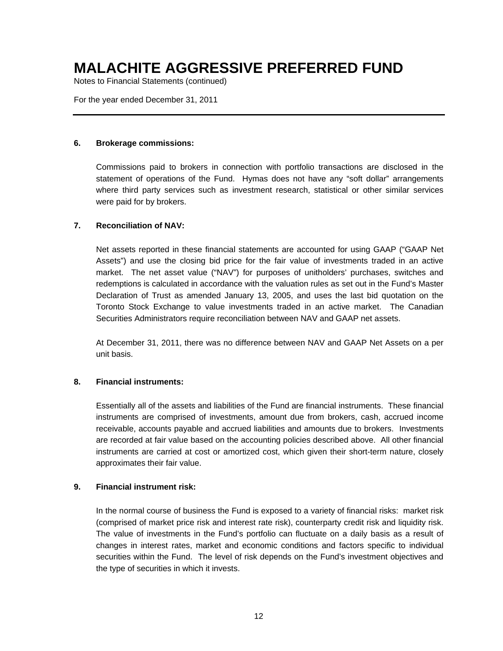Notes to Financial Statements (continued)

For the year ended December 31, 2011

#### **6. Brokerage commissions:**

Commissions paid to brokers in connection with portfolio transactions are disclosed in the statement of operations of the Fund. Hymas does not have any "soft dollar" arrangements where third party services such as investment research, statistical or other similar services were paid for by brokers.

### **7. Reconciliation of NAV:**

Net assets reported in these financial statements are accounted for using GAAP ("GAAP Net Assets") and use the closing bid price for the fair value of investments traded in an active market. The net asset value ("NAV") for purposes of unitholders' purchases, switches and redemptions is calculated in accordance with the valuation rules as set out in the Fund's Master Declaration of Trust as amended January 13, 2005, and uses the last bid quotation on the Toronto Stock Exchange to value investments traded in an active market. The Canadian Securities Administrators require reconciliation between NAV and GAAP net assets.

At December 31, 2011, there was no difference between NAV and GAAP Net Assets on a per unit basis.

### **8. Financial instruments:**

Essentially all of the assets and liabilities of the Fund are financial instruments. These financial instruments are comprised of investments, amount due from brokers, cash, accrued income receivable, accounts payable and accrued liabilities and amounts due to brokers. Investments are recorded at fair value based on the accounting policies described above. All other financial instruments are carried at cost or amortized cost, which given their short-term nature, closely approximates their fair value.

#### **9. Financial instrument risk:**

In the normal course of business the Fund is exposed to a variety of financial risks: market risk (comprised of market price risk and interest rate risk), counterparty credit risk and liquidity risk. The value of investments in the Fund's portfolio can fluctuate on a daily basis as a result of changes in interest rates, market and economic conditions and factors specific to individual securities within the Fund. The level of risk depends on the Fund's investment objectives and the type of securities in which it invests.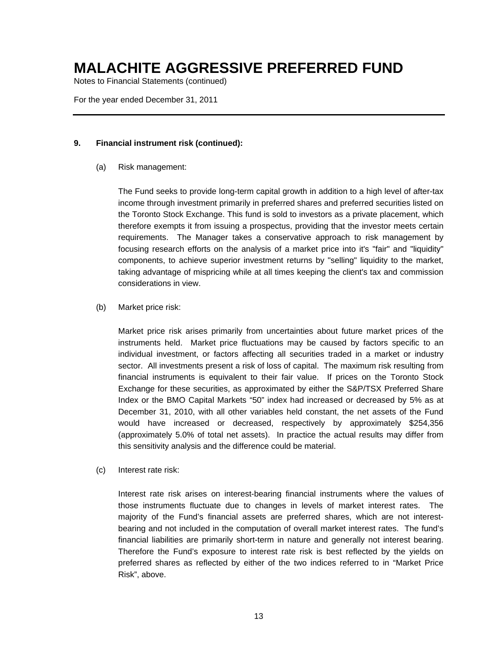Notes to Financial Statements (continued)

For the year ended December 31, 2011

#### **9. Financial instrument risk (continued):**

(a) Risk management:

The Fund seeks to provide long-term capital growth in addition to a high level of after-tax income through investment primarily in preferred shares and preferred securities listed on the Toronto Stock Exchange. This fund is sold to investors as a private placement, which therefore exempts it from issuing a prospectus, providing that the investor meets certain requirements. The Manager takes a conservative approach to risk management by focusing research efforts on the analysis of a market price into it's "fair" and "liquidity" components, to achieve superior investment returns by "selling" liquidity to the market, taking advantage of mispricing while at all times keeping the client's tax and commission considerations in view.

(b) Market price risk:

Market price risk arises primarily from uncertainties about future market prices of the instruments held. Market price fluctuations may be caused by factors specific to an individual investment, or factors affecting all securities traded in a market or industry sector. All investments present a risk of loss of capital. The maximum risk resulting from financial instruments is equivalent to their fair value. If prices on the Toronto Stock Exchange for these securities, as approximated by either the S&P/TSX Preferred Share Index or the BMO Capital Markets "50" index had increased or decreased by 5% as at December 31, 2010, with all other variables held constant, the net assets of the Fund would have increased or decreased, respectively by approximately \$254,356 (approximately 5.0% of total net assets). In practice the actual results may differ from this sensitivity analysis and the difference could be material.

(c) Interest rate risk:

Interest rate risk arises on interest-bearing financial instruments where the values of those instruments fluctuate due to changes in levels of market interest rates. The majority of the Fund's financial assets are preferred shares, which are not interestbearing and not included in the computation of overall market interest rates. The fund's financial liabilities are primarily short-term in nature and generally not interest bearing. Therefore the Fund's exposure to interest rate risk is best reflected by the yields on preferred shares as reflected by either of the two indices referred to in "Market Price Risk", above.